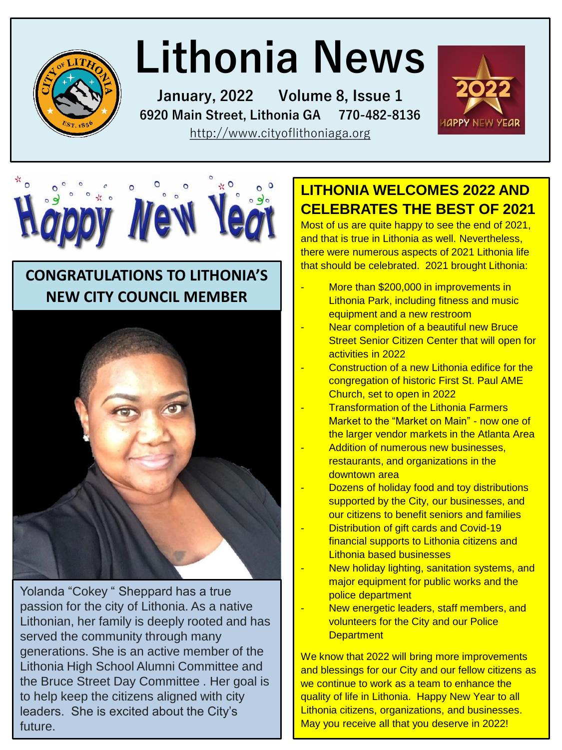

# **Lithonia News**

**January, 2022 Volume 8, Issue 1 6920 Main Street, Lithonia GA 770-482-8136**  [http://www.cityoflithoniaga.org](http://www.cityoflithoniaga.org/)





### **CONGRATULATIONS TO LITHONIA'S NEW CITY COUNCIL MEMBER**



Yolanda "Cokey " Sheppard has a true passion for the city of Lithonia. As a native Lithonian, her family is deeply rooted and has served the community through many generations. She is an active member of the Lithonia High School Alumni Committee and the Bruce Street Day Committee . Her goal is to help keep the citizens aligned with city leaders. She is excited about the City's future.

### **LITHONIA WELCOMES 2022 AND CELEBRATES THE BEST OF 2021**

Most of us are quite happy to see the end of 2021, and that is true in Lithonia as well. Nevertheless, there were numerous aspects of 2021 Lithonia life that should be celebrated. 2021 brought Lithonia:

- More than \$200,000 in improvements in Lithonia Park, including fitness and music equipment and a new restroom
- Near completion of a beautiful new Bruce Street Senior Citizen Center that will open for activities in 2022
- Construction of a new Lithonia edifice for the congregation of historic First St. Paul AME Church, set to open in 2022
- **Transformation of the Lithonia Farmers** Market to the "Market on Main" - now one of the larger vendor markets in the Atlanta Area
- Addition of numerous new businesses, restaurants, and organizations in the downtown area
- Dozens of holiday food and toy distributions supported by the City, our businesses, and our citizens to benefit seniors and families
- Distribution of gift cards and Covid-19 financial supports to Lithonia citizens and Lithonia based businesses
- New holiday lighting, sanitation systems, and major equipment for public works and the police department
	- New energetic leaders, staff members, and volunteers for the City and our Police **Department**

We know that 2022 will bring more improvements and blessings for our City and our fellow citizens as we continue to work as a team to enhance the quality of life in Lithonia. Happy New Year to all Lithonia citizens, organizations, and businesses. May you receive all that you deserve in 2022!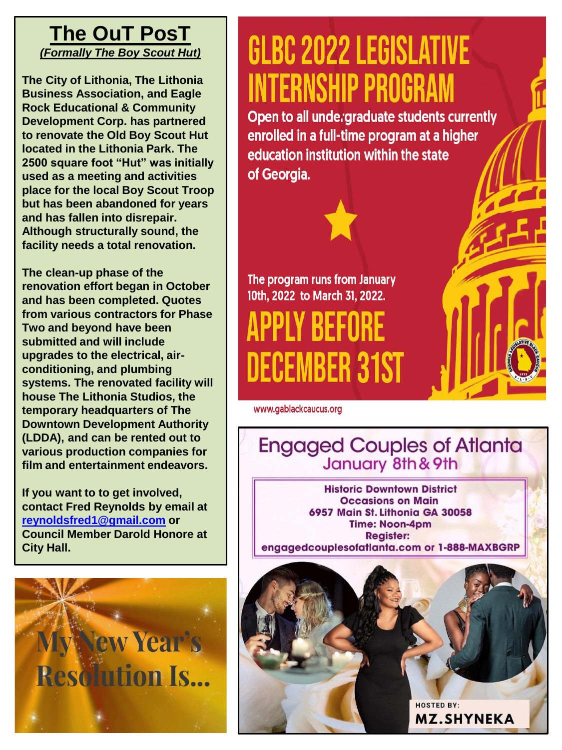### **The OuT PosT** *(Formally The Boy Scout Hut)*

**The City of Lithonia, The Lithonia Business Association, and Eagle Rock Educational & Community Development Corp. has partnered to renovate the Old Boy Scout Hut located in the Lithonia Park. The 2500 square foot "Hut" was initially used as a meeting and activities place for the local Boy Scout Troop but has been abandoned for years and has fallen into disrepair. Although structurally sound, the facility needs a total renovation.** 

**The clean-up phase of the renovation effort began in October and has been completed. Quotes from various contractors for Phase Two and beyond have been submitted and will include upgrades to the electrical, airconditioning, and plumbing systems. The renovated facility will house The Lithonia Studios, the temporary headquarters of The Downtown Development Authority (LDDA), and can be rented out to various production companies for film and entertainment endeavors.**

**If you want to to get involved, contact Fred Reynolds by email at [reynoldsfred1@gmail.com](mailto:reynoldsfred1@gmail.com) or Council Member Darold Honore at City Hall.** 



## **GLBC 2022 LEGISLATIVE INTERNSHIP PROGRAM**

Open to all unde graduate students currently enrolled in a full-time program at a higher education institution within the state of Georgia.

The program runs from January 10th, 2022 to March 31, 2022.

PPLY BEFORE **DECEMBER 31ST** 

www.gablackcaucus.org

**Engaged Couples of Atlanta** January 8th & 9th

**Historic Downtown District Occasions on Main** 6957 Main St. Lithonia GA 30058 **Time: Noon-4pm Register:** engagedcouplesofatlanta.com or 1-888-MAXBGRP

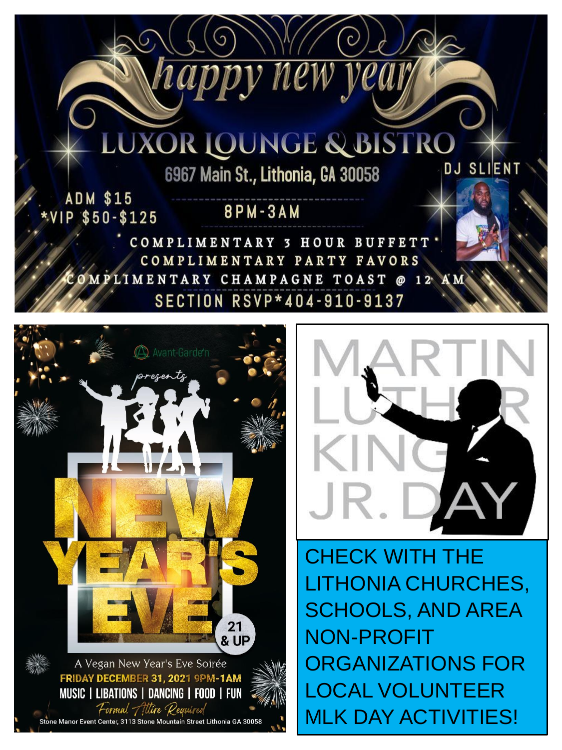

*vea* 

**ADM \$15** \*VIP \$50-\$125

### **8PM-3AM**

nappy new

COMPLIMENTARY 3 HOUR BUFFETT COMPLIMENTARY PARTY FAVORS OMPLIMENTARY CHAMPAGNE TOAST @ 12 AM **SECTION RSVP\*404-910-9137** 





CHECK WITH THE LITHONIA CHURCHES, SCHOOLS, AND AREA NON-PROFIT ORGANIZATIONS FOR LOCAL VOLUNTEER MLK DAY ACTIVITIES!